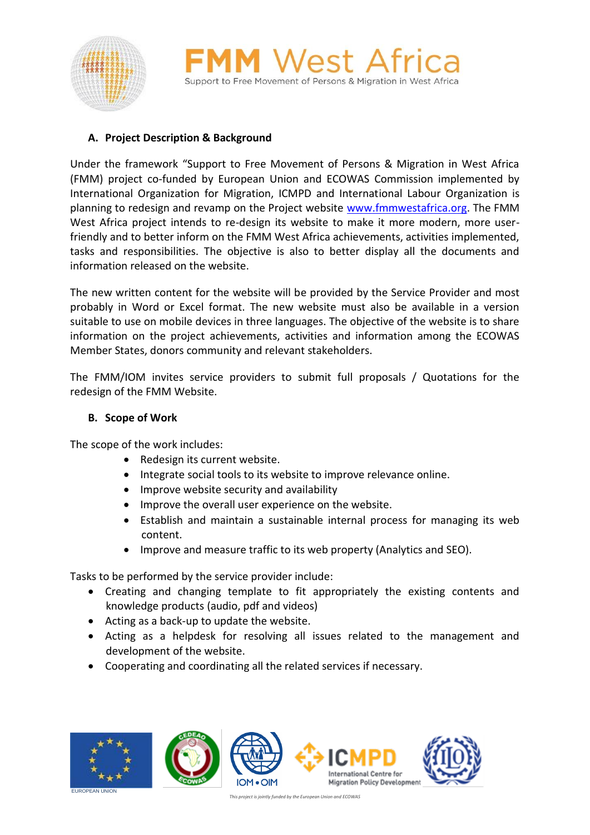



# **A. Project Description & Background**

Under the framework "Support to Free Movement of Persons & Migration in West Africa (FMM) project co-funded by European Union and ECOWAS Commission implemented by International Organization for Migration, ICMPD and International Labour Organization is planning to redesign and revamp on the Project website [www.fmmwestafrica.org.](http://www.fmmwestafrica.org/) The FMM West Africa project intends to re-design its website to make it more modern, more userfriendly and to better inform on the FMM West Africa achievements, activities implemented, tasks and responsibilities. The objective is also to better display all the documents and information released on the website.

The new written content for the website will be provided by the Service Provider and most probably in Word or Excel format. The new website must also be available in a version suitable to use on mobile devices in three languages. The objective of the website is to share information on the project achievements, activities and information among the ECOWAS Member States, donors community and relevant stakeholders.

The FMM/IOM invites service providers to submit full proposals / Quotations for the redesign of the FMM Website.

### **B. Scope of Work**

The scope of the work includes:

- Redesign its current website.
- Integrate social tools to its website to improve relevance online.
- Improve website security and availability
- Improve the overall user experience on the website.
- Establish and maintain a sustainable internal process for managing its web content.
- Improve and measure traffic to its web property (Analytics and SEO).

Tasks to be performed by the service provider include:

- Creating and changing template to fit appropriately the existing contents and knowledge products (audio, pdf and videos)
- Acting as a back-up to update the website.
- Acting as a helpdesk for resolving all issues related to the management and development of the website.
- Cooperating and coordinating all the related services if necessary.

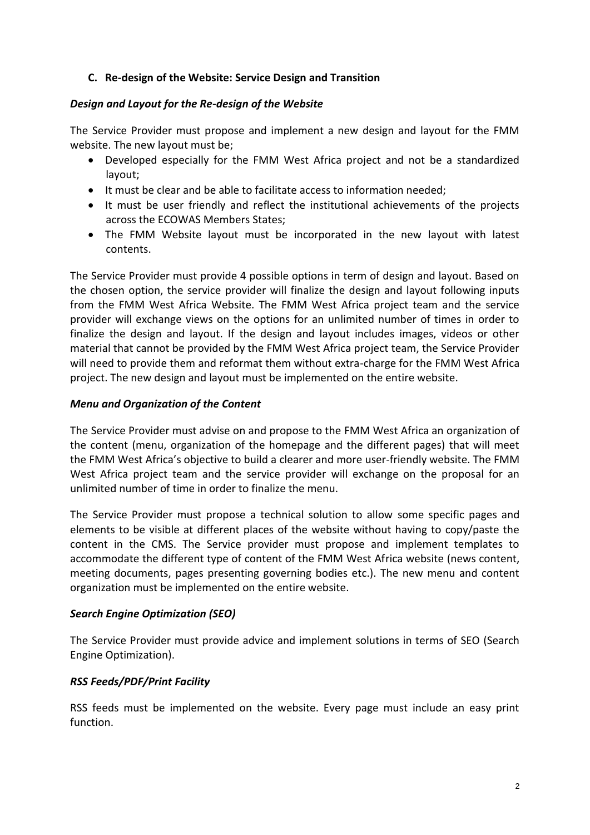### **C. Re-design of the Website: Service Design and Transition**

#### *Design and Layout for the Re-design of the Website*

The Service Provider must propose and implement a new design and layout for the FMM website. The new layout must be;

- Developed especially for the FMM West Africa project and not be a standardized layout;
- It must be clear and be able to facilitate access to information needed;
- It must be user friendly and reflect the institutional achievements of the projects across the ECOWAS Members States;
- The FMM Website layout must be incorporated in the new layout with latest contents.

The Service Provider must provide 4 possible options in term of design and layout. Based on the chosen option, the service provider will finalize the design and layout following inputs from the FMM West Africa Website. The FMM West Africa project team and the service provider will exchange views on the options for an unlimited number of times in order to finalize the design and layout. If the design and layout includes images, videos or other material that cannot be provided by the FMM West Africa project team, the Service Provider will need to provide them and reformat them without extra-charge for the FMM West Africa project. The new design and layout must be implemented on the entire website.

#### *Menu and Organization of the Content*

The Service Provider must advise on and propose to the FMM West Africa an organization of the content (menu, organization of the homepage and the different pages) that will meet the FMM West Africa's objective to build a clearer and more user-friendly website. The FMM West Africa project team and the service provider will exchange on the proposal for an unlimited number of time in order to finalize the menu.

The Service Provider must propose a technical solution to allow some specific pages and elements to be visible at different places of the website without having to copy/paste the content in the CMS. The Service provider must propose and implement templates to accommodate the different type of content of the FMM West Africa website (news content, meeting documents, pages presenting governing bodies etc.). The new menu and content organization must be implemented on the entire website.

#### *Search Engine Optimization (SEO)*

The Service Provider must provide advice and implement solutions in terms of SEO (Search Engine Optimization).

#### *RSS Feeds/PDF/Print Facility*

RSS feeds must be implemented on the website. Every page must include an easy print function.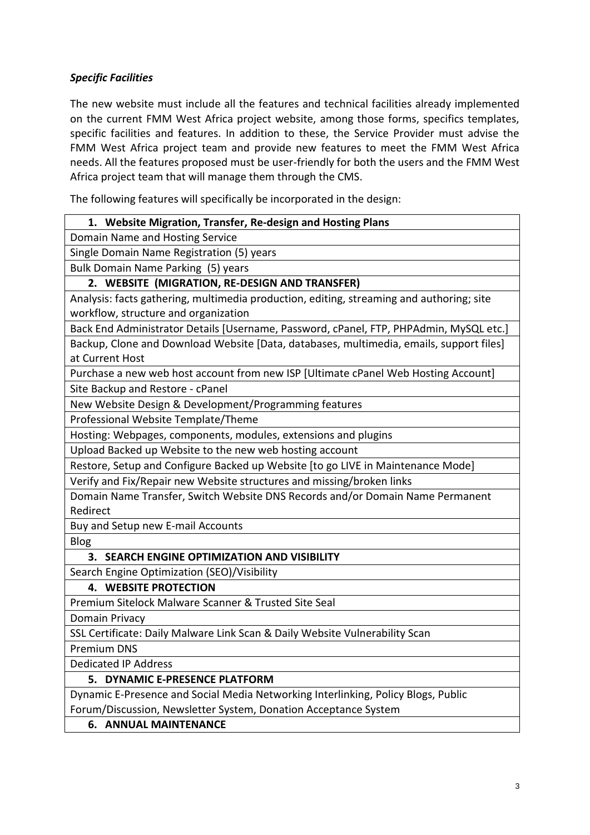# *Specific Facilities*

The new website must include all the features and technical facilities already implemented on the current FMM West Africa project website, among those forms, specifics templates, specific facilities and features. In addition to these, the Service Provider must advise the FMM West Africa project team and provide new features to meet the FMM West Africa needs. All the features proposed must be user-friendly for both the users and the FMM West Africa project team that will manage them through the CMS.

The following features will specifically be incorporated in the design:

### **1. Website Migration, Transfer, Re-design and Hosting Plans**

Domain Name and Hosting Service

Single Domain Name Registration (5) years

Bulk Domain Name Parking (5) years

### **2. WEBSITE (MIGRATION, RE-DESIGN AND TRANSFER)**

Analysis: facts gathering, multimedia production, editing, streaming and authoring; site workflow, structure and organization

Back End Administrator Details [Username, Password, cPanel, FTP, PHPAdmin, MySQL etc.]

Backup, Clone and Download Website [Data, databases, multimedia, emails, support files] at Current Host

Purchase a new web host account from new ISP [Ultimate cPanel Web Hosting Account]

Site Backup and Restore - cPanel

New Website Design & Development/Programming features

Professional Website Template/Theme

Hosting: Webpages, components, modules, extensions and plugins

Upload Backed up Website to the new web hosting account

Restore, Setup and Configure Backed up Website [to go LIVE in Maintenance Mode]

Verify and Fix/Repair new Website structures and missing/broken links

Domain Name Transfer, Switch Website DNS Records and/or Domain Name Permanent Redirect

Buy and Setup new E-mail Accounts

Blog

## **3. SEARCH ENGINE OPTIMIZATION AND VISIBILITY**

Search Engine Optimization (SEO)/Visibility

**4. WEBSITE PROTECTION**

Premium Sitelock Malware Scanner & Trusted Site Seal

Domain Privacy

SSL Certificate: Daily Malware Link Scan & Daily Website Vulnerability Scan

Premium DNS

Dedicated IP Address

## **5. DYNAMIC E-PRESENCE PLATFORM**

Dynamic E-Presence and Social Media Networking Interlinking, Policy Blogs, Public Forum/Discussion, Newsletter System, Donation Acceptance System

## **6. ANNUAL MAINTENANCE**